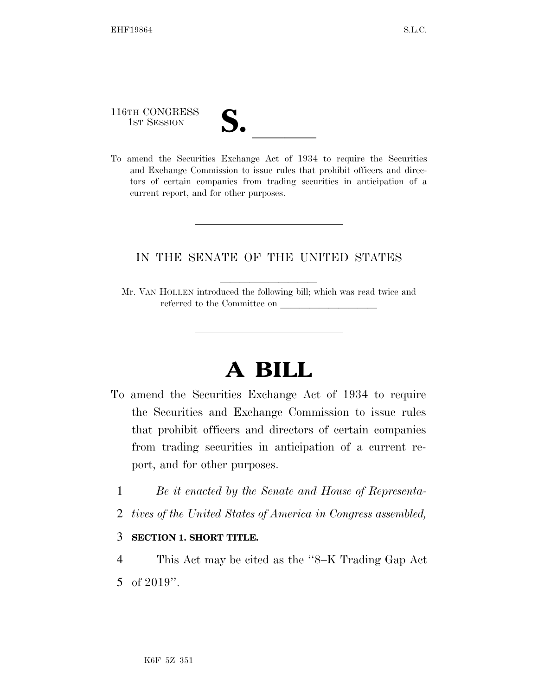116TH CONGRESS

- 
- 116TH CONGRESS<br>
1ST SESSION<br>
To amend the Securities Exchange Act of 1934 to require the Securities and Exchange Commission to issue rules that prohibit officers and directors of certain companies from trading securities in anticipation of a current report, and for other purposes.

#### IN THE SENATE OF THE UNITED STATES

# **A BILL**

- To amend the Securities Exchange Act of 1934 to require the Securities and Exchange Commission to issue rules that prohibit officers and directors of certain companies from trading securities in anticipation of a current report, and for other purposes.
	- 1 *Be it enacted by the Senate and House of Representa-*
	- 2 *tives of the United States of America in Congress assembled,*

#### 3 **SECTION 1. SHORT TITLE.**

4 This Act may be cited as the ''8–K Trading Gap Act 5 of 2019''.

Mr. VAN HOLLEN introduced the following bill; which was read twice and referred to the Committee on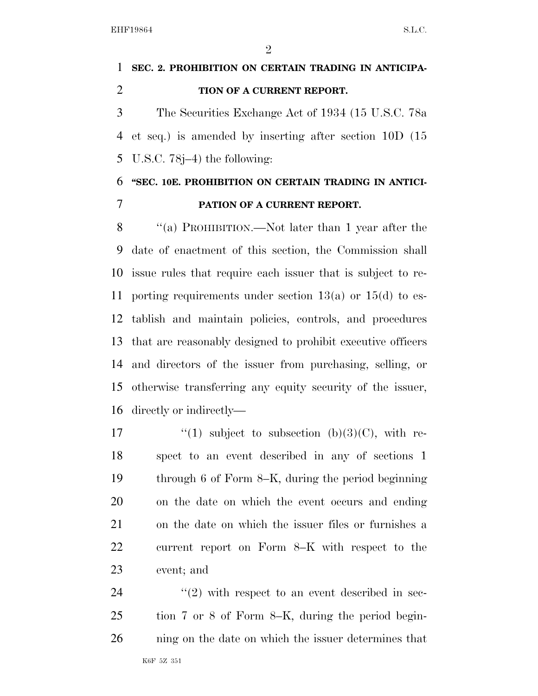$\mathfrak{D}$ 

## **SEC. 2. PROHIBITION ON CERTAIN TRADING IN ANTICIPA-TION OF A CURRENT REPORT.**

 The Securities Exchange Act of 1934 (15 U.S.C. 78a et seq.) is amended by inserting after section 10D (15 U.S.C. 78j–4) the following:

### **''SEC. 10E. PROHIBITION ON CERTAIN TRADING IN ANTICI-PATION OF A CURRENT REPORT.**

 ''(a) PROHIBITION.—Not later than 1 year after the date of enactment of this section, the Commission shall issue rules that require each issuer that is subject to re- porting requirements under section 13(a) or 15(d) to es- tablish and maintain policies, controls, and procedures that are reasonably designed to prohibit executive officers and directors of the issuer from purchasing, selling, or otherwise transferring any equity security of the issuer, directly or indirectly—

 $\qquad$  ''(1) subject to subsection (b)(3)(C), with re- spect to an event described in any of sections 1 through 6 of Form 8–K, during the period beginning on the date on which the event occurs and ending on the date on which the issuer files or furnishes a current report on Form 8–K with respect to the event; and

24  $(2)$  with respect to an event described in sec- tion 7 or 8 of Form 8–K, during the period begin-ning on the date on which the issuer determines that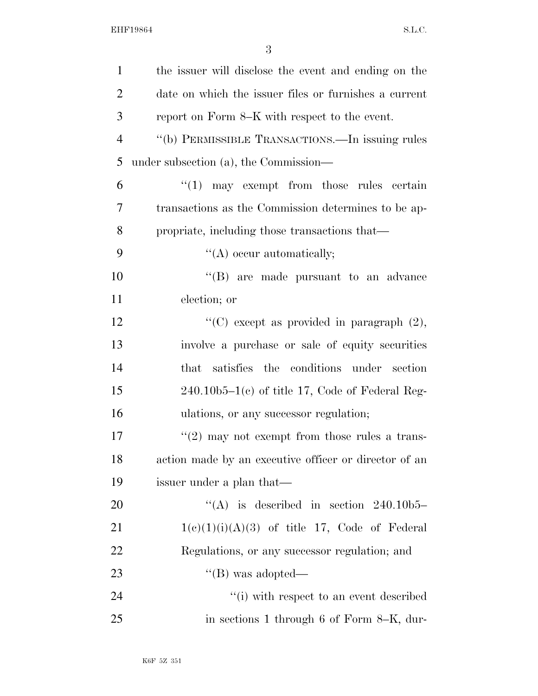| $\mathbf{1}$   | the issuer will disclose the event and ending on the    |
|----------------|---------------------------------------------------------|
| $\overline{2}$ | date on which the issuer files or furnishes a current   |
| 3              | report on Form 8–K with respect to the event.           |
| $\overline{4}$ | "(b) PERMISSIBLE TRANSACTIONS.—In issuing rules         |
| 5              | under subsection (a), the Commission—                   |
| 6              | $\lq(1)$ may exempt from those rules certain            |
| 7              | transactions as the Commission determines to be ap-     |
| 8              | propriate, including those transactions that—           |
| 9              | $\lq\lq$ occur automatically;                           |
| 10             | "(B) are made pursuant to an advance                    |
| 11             | election; or                                            |
| 12             | "(C) except as provided in paragraph $(2)$ ,            |
| 13             | involve a purchase or sale of equity securities         |
| 14             | satisfies the conditions under section<br>$_{\rm that}$ |
| 15             | $240.10b5-1(c)$ of title 17, Code of Federal Reg-       |
| 16             | ulations, or any successor regulation;                  |
| 17             | $\lq(2)$ may not exempt from those rules a trans-       |
| 18             | action made by an executive officer or director of an   |
| 19             | issuer under a plan that—                               |
| <b>20</b>      | "(A) is described in section $240.10b5$                 |
| 21             | $1(c)(1)(i)(A)(3)$ of title 17, Code of Federal         |
| <u>22</u>      | Regulations, or any successor regulation; and           |
| 23             | $\lq\lq (B)$ was adopted—                               |
| 24             | "(i) with respect to an event described                 |
| 25             | in sections 1 through 6 of Form 8–K, dur-               |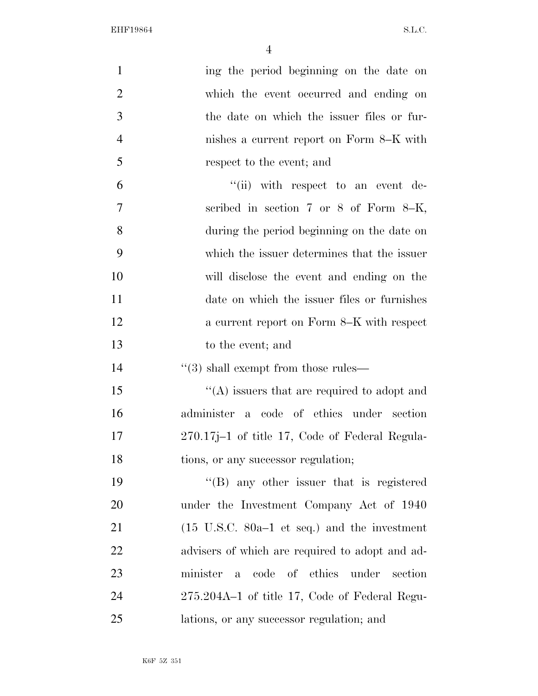EHF19864 S.L.C.

| $\mathbf{1}$   | ing the period beginning on the date on                         |
|----------------|-----------------------------------------------------------------|
| $\overline{2}$ | which the event occurred and ending on                          |
| 3              | the date on which the issuer files or fur-                      |
| $\overline{4}$ | nishes a current report on Form 8–K with                        |
| 5              | respect to the event; and                                       |
| 6              | $``(ii)$ with respect to an event de-                           |
| 7              | scribed in section 7 or 8 of Form 8-K,                          |
| 8              | during the period beginning on the date on                      |
| 9              | which the issuer determines that the issuer                     |
| 10             | will disclose the event and ending on the                       |
| 11             | date on which the issuer files or furnishes                     |
| 12             | a current report on Form 8–K with respect                       |
| 13             | to the event; and                                               |
| 14             | $\cdot\cdot(3)$ shall exempt from those rules—                  |
| 15             | $\cdot$ (A) issuers that are required to adopt and              |
| 16             | administer a code of ethics under section                       |
| 17             | 270.17j-1 of title 17, Code of Federal Regula-                  |
| 18             | tions, or any successor regulation;                             |
| 19             | $\lq\lq (B)$ any other issuer that is registered                |
| 20             | under the Investment Company Act of 1940                        |
| 21             | $(15 \text{ U.S.C. } 80a-1 \text{ et seq.})$ and the investment |
| 22             | advisers of which are required to adopt and ad-                 |
| 23             | a code of ethics under<br>minister<br>section                   |
| 24             | 275.204A-1 of title 17, Code of Federal Regu-                   |
| 25             | lations, or any successor regulation; and                       |